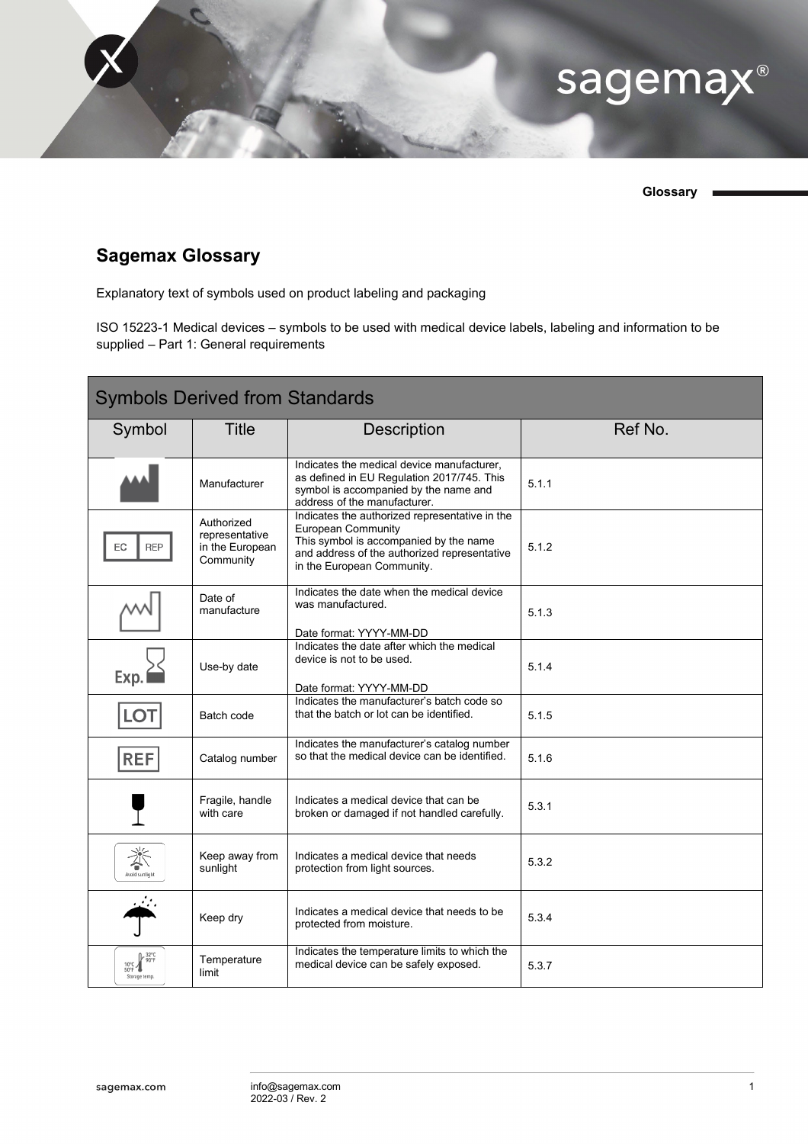

**Glossary**

## **Sagemax Glossary**

Explanatory text of symbols used on product labeling and packaging

ISO 15223-1 Medical devices – symbols to be used with medical device labels, labeling and information to be supplied – Part 1: General requirements

| <b>Symbols Derived from Standards</b>                |                                                              |                                                                                                                                                                                                     |         |  |  |  |
|------------------------------------------------------|--------------------------------------------------------------|-----------------------------------------------------------------------------------------------------------------------------------------------------------------------------------------------------|---------|--|--|--|
| Symbol                                               | <b>Title</b>                                                 | <b>Description</b>                                                                                                                                                                                  | Ref No. |  |  |  |
|                                                      | Manufacturer                                                 | Indicates the medical device manufacturer,<br>as defined in EU Regulation 2017/745. This<br>symbol is accompanied by the name and<br>address of the manufacturer.                                   | 5.1.1   |  |  |  |
| EC<br><b>REP</b>                                     | Authorized<br>representative<br>in the European<br>Community | Indicates the authorized representative in the<br><b>European Community</b><br>This symbol is accompanied by the name<br>and address of the authorized representative<br>in the European Community. | 5.1.2   |  |  |  |
|                                                      | Date of<br>manufacture                                       | Indicates the date when the medical device<br>was manufactured.<br>Date format: YYYY-MM-DD                                                                                                          | 5.1.3   |  |  |  |
| Exp.                                                 | Use-by date                                                  | Indicates the date after which the medical<br>device is not to be used.<br>Date format: YYYY-MM-DD                                                                                                  | 5.1.4   |  |  |  |
| LO <sub>T</sub>                                      | Batch code                                                   | Indicates the manufacturer's batch code so<br>that the batch or lot can be identified.                                                                                                              | 5.1.5   |  |  |  |
| <b>REF</b>                                           | Catalog number                                               | Indicates the manufacturer's catalog number<br>so that the medical device can be identified.                                                                                                        | 5.1.6   |  |  |  |
|                                                      | Fragile, handle<br>with care                                 | Indicates a medical device that can be<br>broken or damaged if not handled carefully.                                                                                                               | 5.3.1   |  |  |  |
| 漛                                                    | Keep away from<br>sunlight                                   | Indicates a medical device that needs<br>protection from light sources.                                                                                                                             | 5.3.2   |  |  |  |
|                                                      | Keep dry                                                     | Indicates a medical device that needs to be<br>protected from moisture.                                                                                                                             | 5.3.4   |  |  |  |
| }- 32°C<br> } 90°F<br>$10^{\circ}$ C<br>Storage temp | Temperature<br>limit                                         | Indicates the temperature limits to which the<br>medical device can be safely exposed.                                                                                                              | 5.3.7   |  |  |  |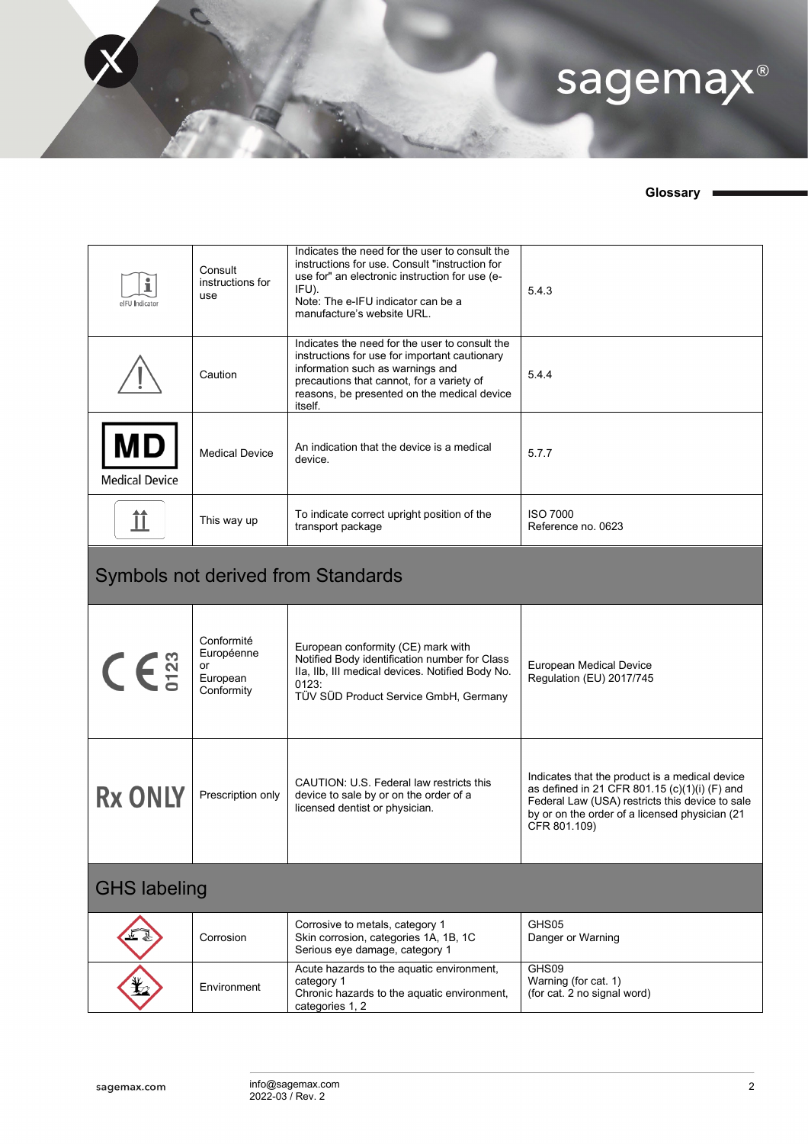

## **Glossary**

| elFU Indicator                            | Consult<br>instructions for<br>use                       | Indicates the need for the user to consult the<br>instructions for use. Consult "instruction for<br>use for" an electronic instruction for use (e-<br>IFU).<br>Note: The e-IFU indicator can be a<br>manufacture's website URL.            | 5.4.3                                                                                                                                                                                                                |  |  |
|-------------------------------------------|----------------------------------------------------------|--------------------------------------------------------------------------------------------------------------------------------------------------------------------------------------------------------------------------------------------|----------------------------------------------------------------------------------------------------------------------------------------------------------------------------------------------------------------------|--|--|
|                                           | Caution                                                  | Indicates the need for the user to consult the<br>instructions for use for important cautionary<br>information such as warnings and<br>precautions that cannot, for a variety of<br>reasons, be presented on the medical device<br>itself. | 5.4.4                                                                                                                                                                                                                |  |  |
| <b>MD</b><br><b>Medical Device</b>        | <b>Medical Device</b>                                    | An indication that the device is a medical<br>device.                                                                                                                                                                                      | 5.7.7                                                                                                                                                                                                                |  |  |
| ÎÎ                                        | This way up                                              | To indicate correct upright position of the<br>transport package                                                                                                                                                                           | <b>ISO 7000</b><br>Reference no. 0623                                                                                                                                                                                |  |  |
| <b>Symbols not derived from Standards</b> |                                                          |                                                                                                                                                                                                                                            |                                                                                                                                                                                                                      |  |  |
| $C\in \mathbb{S}^n$                       | Conformité<br>Européenne<br>or<br>European<br>Conformity | European conformity (CE) mark with<br>Notified Body identification number for Class<br>Ila, Ilb, III medical devices. Notified Body No.<br>0123:<br>TÜV SÜD Product Service GmbH, Germany                                                  | European Medical Device<br>Regulation (EU) 2017/745                                                                                                                                                                  |  |  |
| <b>Rx ONLY</b>                            | Prescription only                                        | CAUTION: U.S. Federal law restricts this<br>device to sale by or on the order of a<br>licensed dentist or physician.                                                                                                                       | Indicates that the product is a medical device<br>as defined in 21 CFR 801.15 (c)(1)(i) (F) and<br>Federal Law (USA) restricts this device to sale<br>by or on the order of a licensed physician (21<br>CFR 801.109) |  |  |
| <b>GHS labeling</b>                       |                                                          |                                                                                                                                                                                                                                            |                                                                                                                                                                                                                      |  |  |
|                                           | Corrosion                                                | Corrosive to metals, category 1<br>Skin corrosion, categories 1A, 1B, 1C<br>Serious eye damage, category 1                                                                                                                                 | GHS05<br>Danger or Warning                                                                                                                                                                                           |  |  |
|                                           | Environment                                              | Acute hazards to the aquatic environment,<br>category 1<br>Chronic hazards to the aquatic environment,<br>categories 1, 2                                                                                                                  | GHS09<br>Warning (for cat. 1)<br>(for cat. 2 no signal word)                                                                                                                                                         |  |  |